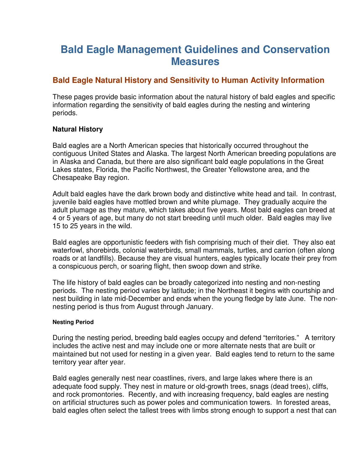# **Bald Eagle Management Guidelines and Conservation Measures**

## **Bald Eagle Natural History and Sensitivity to Human Activity Information**

These pages provide basic information about the natural history of bald eagles and specific information regarding the sensitivity of bald eagles during the nesting and wintering periods.

## **Natural History**

Bald eagles are a North American species that historically occurred throughout the contiguous United States and Alaska. The largest North American breeding populations are in Alaska and Canada, but there are also significant bald eagle populations in the Great Lakes states, Florida, the Pacific Northwest, the Greater Yellowstone area, and the Chesapeake Bay region.

Adult bald eagles have the dark brown body and distinctive white head and tail. In contrast, juvenile bald eagles have mottled brown and white plumage. They gradually acquire the adult plumage as they mature, which takes about five years. Most bald eagles can breed at 4 or 5 years of age, but many do not start breeding until much older. Bald eagles may live 15 to 25 years in the wild.

Bald eagles are opportunistic feeders with fish comprising much of their diet. They also eat waterfowl, shorebirds, colonial waterbirds, small mammals, turtles, and carrion (often along roads or at landfills). Because they are visual hunters, eagles typically locate their prey from a conspicuous perch, or soaring flight, then swoop down and strike.

The life history of bald eagles can be broadly categorized into nesting and non-nesting periods. The nesting period varies by latitude; in the Northeast it begins with courtship and nest building in late mid-December and ends when the young fledge by late June. The nonnesting period is thus from August through January.

### **Nesting Period**

During the nesting period, breeding bald eagles occupy and defend "territories." A territory includes the active nest and may include one or more alternate nests that are built or maintained but not used for nesting in a given year. Bald eagles tend to return to the same territory year after year.

Bald eagles generally nest near coastlines, rivers, and large lakes where there is an adequate food supply. They nest in mature or old-growth trees, snags (dead trees), cliffs, and rock promontories. Recently, and with increasing frequency, bald eagles are nesting on artificial structures such as power poles and communication towers. In forested areas, bald eagles often select the tallest trees with limbs strong enough to support a nest that can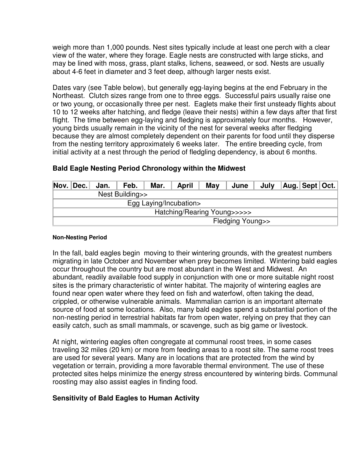weigh more than 1,000 pounds. Nest sites typically include at least one perch with a clear view of the water, where they forage. Eagle nests are constructed with large sticks, and may be lined with moss, grass, plant stalks, lichens, seaweed, or sod. Nests are usually about 4-6 feet in diameter and 3 feet deep, although larger nests exist.

Dates vary (see Table below), but generally egg-laying begins at the end February in the Northeast. Clutch sizes range from one to three eggs. Successful pairs usually raise one or two young, or occasionally three per nest. Eaglets make their first unsteady flights about 10 to 12 weeks after hatching, and fledge (leave their nests) within a few days after that first flight. The time between egg-laying and fledging is approximately four months. However, young birds usually remain in the vicinity of the nest for several weeks after fledging because they are almost completely dependent on their parents for food until they disperse from the nesting territory approximately 6 weeks later. The entire breeding cycle, from initial activity at a nest through the period of fledgling dependency, is about 6 months.

| $Nov.$ Dec.                 | Jan. | Feb. | Mar. | <b>April</b> | May | June | July |  | $ Aug. $ Sept $ Oct. $ |  |
|-----------------------------|------|------|------|--------------|-----|------|------|--|------------------------|--|
| Nest Building>>             |      |      |      |              |     |      |      |  |                        |  |
| Egg Laying/Incubation>      |      |      |      |              |     |      |      |  |                        |  |
| Hatching/Rearing Young>>>>> |      |      |      |              |     |      |      |  |                        |  |
| Fledging Young>>            |      |      |      |              |     |      |      |  |                        |  |

## **Bald Eagle Nesting Period Chronology within the Midwest**

#### **Non-Nesting Period**

In the fall, bald eagles begin moving to their wintering grounds, with the greatest numbers migrating in late October and November when prey becomes limited. Wintering bald eagles occur throughout the country but are most abundant in the West and Midwest. An abundant, readily available food supply in conjunction with one or more suitable night roost sites is the primary characteristic of winter habitat. The majority of wintering eagles are found near open water where they feed on fish and waterfowl, often taking the dead, crippled, or otherwise vulnerable animals. Mammalian carrion is an important alternate source of food at some locations. Also, many bald eagles spend a substantial portion of the non-nesting period in terrestrial habitats far from open water, relying on prey that they can easily catch, such as small mammals, or scavenge, such as big game or livestock.

At night, wintering eagles often congregate at communal roost trees, in some cases traveling 32 miles (20 km) or more from feeding areas to a roost site. The same roost trees are used for several years. Many are in locations that are protected from the wind by vegetation or terrain, providing a more favorable thermal environment. The use of these protected sites helps minimize the energy stress encountered by wintering birds. Communal roosting may also assist eagles in finding food.

## **Sensitivity of Bald Eagles to Human Activity**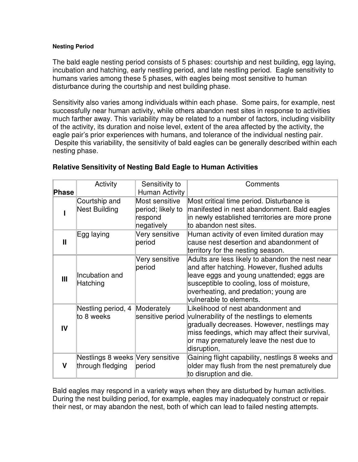#### **Nesting Period**

The bald eagle nesting period consists of 5 phases: courtship and nest building, egg laying, incubation and hatching, early nestling period, and late nestling period. Eagle sensitivity to humans varies among these 5 phases, with eagles being most sensitive to human disturbance during the courtship and nest building phase.

Sensitivity also varies among individuals within each phase. Some pairs, for example, nest successfully near human activity, while others abandon nest sites in response to activities much farther away. This variability may be related to a number of factors, including visibility of the activity, its duration and noise level, extent of the area affected by the activity, the eagle pair's prior experiences with humans, and tolerance of the individual nesting pair. Despite this variability, the sensitivity of bald eagles can be generally described within each nesting phase.

| Phase          | Activity                                             | Sensitivity to<br>Human Activity                             | Comments                                                                                                                                                                                                                                                       |
|----------------|------------------------------------------------------|--------------------------------------------------------------|----------------------------------------------------------------------------------------------------------------------------------------------------------------------------------------------------------------------------------------------------------------|
|                | Courtship and<br>Nest Building                       | Most sensitive<br>period; likely to<br>respond<br>negatively | Most critical time period. Disturbance is<br>manifested in nest abandonment. Bald eagles<br>in newly established territories are more prone<br>to abandon nest sites.                                                                                          |
| Ш              | Egg laying                                           | Very sensitive<br>period                                     | Human activity of even limited duration may<br>cause nest desertion and abandonment of<br>territory for the nesting season.                                                                                                                                    |
| $\mathbf{III}$ | Incubation and<br>Hatching                           | Very sensitive<br>period                                     | Adults are less likely to abandon the nest near<br>and after hatching. However, flushed adults<br>leave eggs and young unattended; eggs are<br>susceptible to cooling, loss of moisture,<br>overheating, and predation; young are<br>vulnerable to elements.   |
| IV             | Nestling period, 4<br>to 8 weeks                     | Moderately                                                   | Likelihood of nest abandonment and<br>sensitive period vulnerability of the nestlings to elements<br>gradually decreases. However, nestlings may<br>miss feedings, which may affect their survival,<br>or may prematurely leave the nest due to<br>disruption, |
| v              | Nestlings 8 weeks Very sensitive<br>through fledging | period                                                       | Gaining flight capability, nestlings 8 weeks and<br>older may flush from the nest prematurely due<br>to disruption and die.                                                                                                                                    |

## **Relative Sensitivity of Nesting Bald Eagle to Human Activities**

Bald eagles may respond in a variety ways when they are disturbed by human activities. During the nest building period, for example, eagles may inadequately construct or repair their nest, or may abandon the nest, both of which can lead to failed nesting attempts.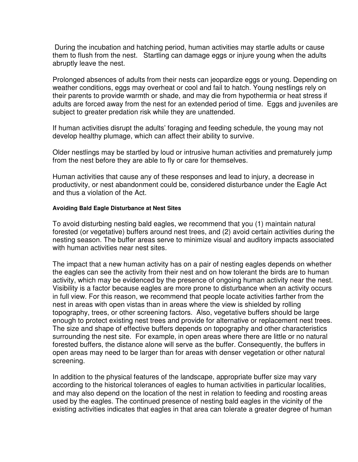During the incubation and hatching period, human activities may startle adults or cause them to flush from the nest. Startling can damage eggs or injure young when the adults abruptly leave the nest.

Prolonged absences of adults from their nests can jeopardize eggs or young. Depending on weather conditions, eggs may overheat or cool and fail to hatch. Young nestlings rely on their parents to provide warmth or shade, and may die from hypothermia or heat stress if adults are forced away from the nest for an extended period of time. Eggs and juveniles are subject to greater predation risk while they are unattended.

If human activities disrupt the adults' foraging and feeding schedule, the young may not develop healthy plumage, which can affect their ability to survive.

Older nestlings may be startled by loud or intrusive human activities and prematurely jump from the nest before they are able to fly or care for themselves.

Human activities that cause any of these responses and lead to injury, a decrease in productivity, or nest abandonment could be, considered disturbance under the Eagle Act and thus a violation of the Act.

#### **Avoiding Bald Eagle Disturbance at Nest Sites**

To avoid disturbing nesting bald eagles, we recommend that you (1) maintain natural forested (or vegetative) buffers around nest trees, and (2) avoid certain activities during the nesting season. The buffer areas serve to minimize visual and auditory impacts associated with human activities near nest sites.

The impact that a new human activity has on a pair of nesting eagles depends on whether the eagles can see the activity from their nest and on how tolerant the birds are to human activity, which may be evidenced by the presence of ongoing human activity near the nest. Visibility is a factor because eagles are more prone to disturbance when an activity occurs in full view. For this reason, we recommend that people locate activities farther from the nest in areas with open vistas than in areas where the view is shielded by rolling topography, trees, or other screening factors. Also, vegetative buffers should be large enough to protect existing nest trees and provide for alternative or replacement nest trees. The size and shape of effective buffers depends on topography and other characteristics surrounding the nest site. For example, in open areas where there are little or no natural forested buffers, the distance alone will serve as the buffer. Consequently, the buffers in open areas may need to be larger than for areas with denser vegetation or other natural screening.

In addition to the physical features of the landscape, appropriate buffer size may vary according to the historical tolerances of eagles to human activities in particular localities, and may also depend on the location of the nest in relation to feeding and roosting areas used by the eagles. The continued presence of nesting bald eagles in the vicinity of the existing activities indicates that eagles in that area can tolerate a greater degree of human